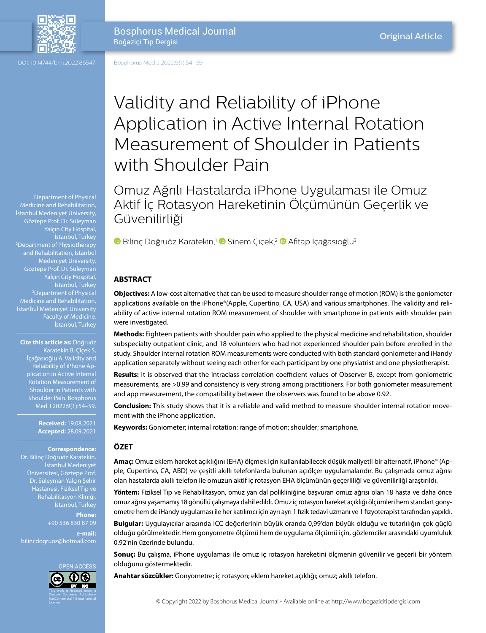

Bosphorus Medical Journal Boğaziçi Tıp Dergisi

Bosphorus Med J 2022;9(1):54–59

1 Department of Physical Medicine and Rehabilitation, İstanbul Medeniyet University, Göztepe Prof. Dr. Süleyman 2 Department of Physiotherapy and Rehabilitation, İstanbul Medeniyet University, Göztepe Prof. Dr. Süleyman Yalçın City Hospital, İstanbul, Turkey 3 Department of Physical Medicine and Rehabilitation, İstanbul Medeniyet University Faculty of Medicine, İstanbul, Turkey

**Cite this article as:** Doğruöz Karatekin B, Çiçek S, İçağasıoğlu A. Validity and Reliability of iPhone Application in Active Internal Rotation Measurement of Shoulder Pain. Bosphorus

> **Received:** 19.08.2021 **Accepted:** 28.09.2021

**Correspondence:** Dr. Bilinç Doğruöz Karatekin. İstanbul Medeniyet Üniversitesi, Göztepe Prof. Dr. Süleyman Yalçın Şehir Hastanesi, Fiziksel Tıp ve Rehabilitasyon Kliniği, İstanbul, Turkey

**Phone:** +90 536 830 87 09 **e-mail:** bilincdogruoz@hotmail.com



# Validity and Reliability of iPhone Application in Active Internal Rotation Measurement of Shoulder in Patients with Shoulder Pain

Omuz Ağrılı Hastalarda iPhone Uygulaması ile Omuz Aktif İç Rotasyon Hareketinin Ölçümünün Geçerlik ve Güvenilirliği

**D**Bilinç Doğruöz Karatekin,<sup>1</sup> D Sinem Çiçek,<sup>2</sup> D Afitap İçağasıoğlu<sup>3</sup>

# **ABSTRACT**

**Objectives:** A low-cost alternative that can be used to measure shoulder range of motion (ROM) is the goniometer applications available on the iPhone®(Apple, Cupertino, CA, USA) and various smartphones. The validity and reliability of active internal rotation ROM measurement of shoulder with smartphone in patients with shoulder pain were investigated.

**Methods:** Eighteen patients with shoulder pain who applied to the physical medicine and rehabilitation, shoulder subspecialty outpatient clinic, and 18 volunteers who had not experienced shoulder pain before enrolled in the study. Shoulder internal rotation ROM measurements were conducted with both standard goniometer and iHandy application separately without seeing each other for each participant by one physiatrist and one physiotherapist.

**Results:** It is observed that the intraclass correlation coefficient values of Observer B, except from goniometric measurements, are >0.99 and consistency is very strong among practitioners. For both goniometer measurement and app measurement, the compatibility between the observers was found to be above 0.92.

**Conclusion:** This study shows that it is a reliable and valid method to measure shoulder internal rotation movement with the iPhone application.

**Keywords:** Goniometer; internal rotation; range of motion; shoulder; smartphone.

# **ÖZET**

**Amaç:** Omuz eklem hareket açıklığını (EHA) ölçmek için kullanılabilecek düşük maliyetli bir alternatif, iPhone® (Apple, Cupertino, CA, ABD) ve çeşitli akıllı telefonlarda bulunan açıölçer uygulamalarıdır. Bu çalışmada omuz ağrısı olan hastalarda akıllı telefon ile omuzun aktif iç rotasyon EHA ölçümünün geçerliliği ve güvenilirliği araştırıldı.

**Yöntem:** Fiziksel Tıp ve Rehabilitasyon, omuz yan dal polikliniğine başvuran omuz ağrısı olan 18 hasta ve daha önce omuz ağrısı yaşamamış 18 gönüllü çalışmaya dahil edildi. Omuz iç rotasyon hareket açıklığı ölçümleri hem standart gonyometre hem de iHandy uygulaması ile her katılımcı için ayrı ayrı 1 fizik tedavi uzmanı ve 1 fizyoterapist tarafından yapıldı.

**Bulgular:** Uygulayıcılar arasında ICC değerlerinin büyük oranda 0,99'dan büyük olduğu ve tutarlılığın çok güçlü olduğu görülmektedir. Hem gonyometre ölçümü hem de uygulama ölçümü için, gözlemciler arasındaki uyumluluk 0,92'nin üzerinde bulundu.

**Sonuç:** Bu çalışma, iPhone uygulaması ile omuz iç rotasyon hareketini ölçmenin güvenilir ve geçerli bir yöntem olduğunu göstermektedir.

**Anahtar sözcükler:** Gonyometre; iç rotasyon; eklem hareket açıklığı; omuz; akıllı telefon.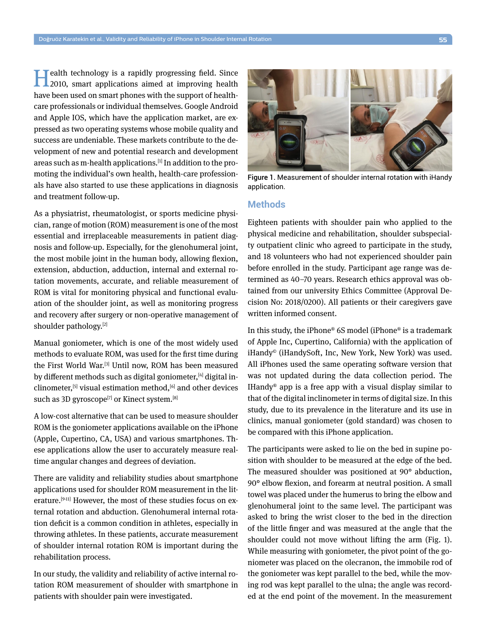**Health technology is a rapidly progressing field. Since 2010, smart applications aimed at improving health** have been used on smart phones with the support of healthcare professionals or individual themselves. Google Android and Apple IOS, which have the application market, are expressed as two operating systems whose mobile quality and success are undeniable. These markets contribute to the development of new and potential research and development areas such as m-health applications.[1] In addition to the promoting the individual's own health, health-care professionals have also started to use these applications in diagnosis and treatment follow-up.

As a physiatrist, rheumatologist, or sports medicine physician, range of motion (ROM) measurement is one of the most essential and irreplaceable measurements in patient diagnosis and follow-up. Especially, for the glenohumeral joint, the most mobile joint in the human body, allowing flexion, extension, abduction, adduction, internal and external rotation movements, accurate, and reliable measurement of ROM is vital for monitoring physical and functional evaluation of the shoulder joint, as well as monitoring progress and recovery after surgery or non-operative management of shoulder pathology.[2]

Manual goniometer, which is one of the most widely used methods to evaluate ROM, was used for the first time during the First World War.[3] Until now, ROM has been measured by different methods such as digital goniometer, [4] digital inclinometer,  $[5]$  visual estimation method,  $[6]$  and other devices such as 3D gyroscope<sup>[7]</sup> or Kinect system.<sup>[8]</sup>

A low-cost alternative that can be used to measure shoulder ROM is the goniometer applications available on the iPhone (Apple, Cupertino, CA, USA) and various smartphones. These applications allow the user to accurately measure realtime angular changes and degrees of deviation.

There are validity and reliability studies about smartphone applications used for shoulder ROM measurement in the literature.<sup>[9-11]</sup> However, the most of these studies focus on external rotation and abduction. Glenohumeral internal rotation deficit is a common condition in athletes, especially in throwing athletes. In these patients, accurate measurement of shoulder internal rotation ROM is important during the rehabilitation process.

In our study, the validity and reliability of active internal rotation ROM measurement of shoulder with smartphone in patients with shoulder pain were investigated.



Figure 1. Measurement of shoulder internal rotation with iHandy application.

## **Methods**

Eighteen patients with shoulder pain who applied to the physical medicine and rehabilitation, shoulder subspecialty outpatient clinic who agreed to participate in the study, and 18 volunteers who had not experienced shoulder pain before enrolled in the study. Participant age range was determined as 40–70 years. Research ethics approval was obtained from our university Ethics Committee (Approval Decision No: 2018/0200). All patients or their caregivers gave written informed consent.

In this study, the iPhone® 6S model (iPhone® is a trademark of Apple Inc, Cupertino, California) with the application of iHandy© (iHandySoft, Inc, New York, New York) was used. All iPhones used the same operating software version that was not updated during the data collection period. The IHandy<sup>®</sup> app is a free app with a visual display similar to that of the digital inclinometer in terms of digital size. In this study, due to its prevalence in the literature and its use in clinics, manual goniometer (gold standard) was chosen to be compared with this iPhone application.

The participants were asked to lie on the bed in supine position with shoulder to be measured at the edge of the bed. The measured shoulder was positioned at 90° abduction, 90° elbow flexion, and forearm at neutral position. A small towel was placed under the humerus to bring the elbow and glenohumeral joint to the same level. The participant was asked to bring the wrist closer to the bed in the direction of the little finger and was measured at the angle that the shoulder could not move without lifting the arm (Fig. 1). While measuring with goniometer, the pivot point of the goniometer was placed on the olecranon, the immobile rod of the goniometer was kept parallel to the bed, while the moving rod was kept parallel to the ulna; the angle was recorded at the end point of the movement. In the measurement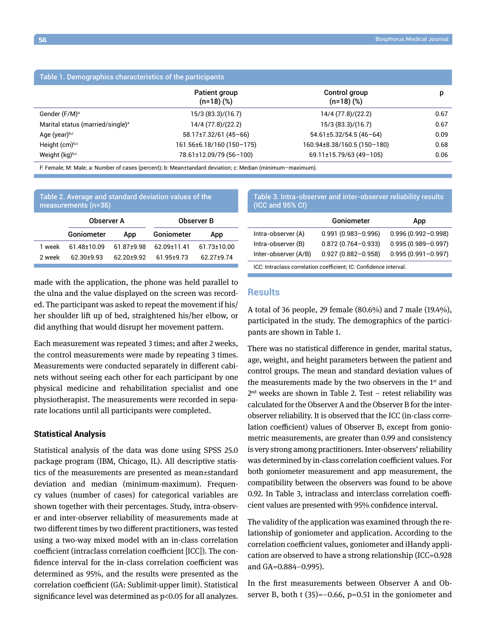| Table 1. Demographics characteristics of the participants |                              |                              |      |  |  |
|-----------------------------------------------------------|------------------------------|------------------------------|------|--|--|
|                                                           | Patient group<br>$(n=18)(%)$ | Control group<br>$(n=18)(%)$ | p    |  |  |
| Gender (F/M) <sup>a</sup>                                 | 15/3(83.3)/(16.7)            | 14/4 (77.8)/(22.2)           | 0.67 |  |  |
| Marital status (married/single) <sup>a</sup>              | 14/4 (77.8)/(22.2)           | 15/3(83.3)/(16.7)            | 0.67 |  |  |
| Age (year)b,c                                             | $58.17 \pm 7.32/61$ (45-66)  | $54.61 \pm 5.32/54.5(46-64)$ | 0.09 |  |  |
| Height (cm)b,c                                            | 161.56±6.18/160 (150-175)    | 160.94±8.38/160.5 (150-180)  | 0.68 |  |  |
| Weight (kg)b,c                                            | 78.61±12.09/79 (56-100)      | 69.11±15.79/63 (49-105)      | 0.06 |  |  |

F: Female; M: Male; a: Number of cases (percent); b: Mean±tandard deviation; c: Median (minimum–maximum).

| Table 2. Average and standard deviation values of the<br>measurements (n=36) |             |            |                   |             |  |
|------------------------------------------------------------------------------|-------------|------------|-------------------|-------------|--|
|                                                                              | Observer A  |            | <b>Observer B</b> |             |  |
|                                                                              | Goniometer  | App        | Goniometer        | App         |  |
| 1 week                                                                       | 61 48+10 09 | 61 87+9 98 | 62 09+11 41       | 61 73+10 00 |  |
| 2 week                                                                       | $6230+993$  | $6220+992$ | $6195+973$        | 62 27 + 974 |  |

made with the application, the phone was held parallel to the ulna and the value displayed on the screen was recorded. The participant was asked to repeat the movement if his/ her shoulder lift up of bed, straightened his/her elbow, or did anything that would disrupt her movement pattern.

Each measurement was repeated 3 times; and after 2 weeks, the control measurements were made by repeating 3 times. Measurements were conducted separately in different cabinets without seeing each other for each participant by one physical medicine and rehabilitation specialist and one physiotherapist. The measurements were recorded in separate locations until all participants were completed.

## **Statistical Analysis**

Statistical analysis of the data was done using SPSS 25.0 package program (IBM, Chicago, IL). All descriptive statistics of the measurements are presented as mean±standard deviation and median (minimum-maximum). Frequency values (number of cases) for categorical variables are shown together with their percentages. Study, intra-observer and inter-observer reliability of measurements made at two different times by two different practitioners, was tested using a two-way mixed model with an in-class correlation coefficient (intraclass correlation coefficient [ICC]). The confidence interval for the in-class correlation coefficient was determined as 95%, and the results were presented as the correlation coefficient (GA: Sublimit-upper limit). Statistical significance level was determined as p<0.05 for all analyzes.

Table 3. Intra-observer and inter-observer reliability results (ICC and 95% CI)

|                      | <b>Goniometer</b>      | App                    |
|----------------------|------------------------|------------------------|
| Intra-observer (A)   | $0.991(0.983 - 0.996)$ | $0.996(0.992 - 0.998)$ |
| Intra-observer (B)   | $0.872(0.764 - 0.933)$ | $0.995(0.989 - 0.997)$ |
| Inter-observer (A/B) | $0.927(0.882 - 0.958)$ | $0.995(0.991 - 0.997)$ |
|                      |                        |                        |

ICC: Intraclass correlation coefficient; IC: Confidence interval.

## **Results**

A total of 36 people, 29 female (80.6%) and 7 male (19.4%), participated in the study. The demographics of the participants are shown in Table 1.

There was no statistical difference in gender, marital status, age, weight, and height parameters between the patient and control groups. The mean and standard deviation values of the measurements made by the two observers in the  $1<sup>st</sup>$  and  $2<sup>nd</sup>$  weeks are shown in Table 2. Test – retest reliability was calculated for the Observer A and the Observer B for the interobserver reliability. It is observed that the ICC (in-class correlation coefficient) values of Observer B, except from goniometric measurements, are greater than 0.99 and consistency is very strong among practitioners. Inter-observers' reliability was determined by in-class correlation coefficient values. For both goniometer measurement and app measurement, the compatibility between the observers was found to be above 0.92. In Table 3, intraclass and interclass correlation coefficient values are presented with 95% confidence interval.

The validity of the application was examined through the relationship of goniometer and application. According to the correlation coefficient values, goniometer and iHandy application are observed to have a strong relationship (ICC=0.928 and GA=0.884–0.995).

In the first measurements between Observer A and Observer B, both t  $(35)=-0.66$ , p=0.51 in the goniometer and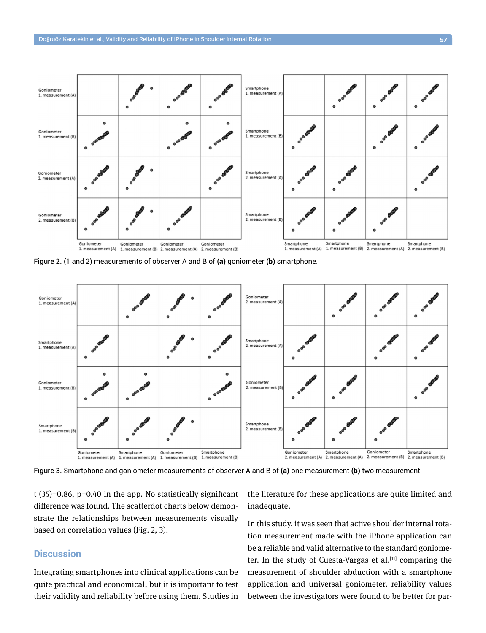

Figure 2. (1 and 2) measurements of observer A and B of **(a)** goniometer **(b)** smartphone.



Figure 3. Smartphone and goniometer measurements of observer A and B of **(a)** one measurement **(b)** two measurement.

t (35)=0.86, p=0.40 in the app. No statistically significant difference was found. The scatterdot charts below demonstrate the relationships between measurements visually based on correlation values (Fig. 2, 3).

# **Discussion**

Integrating smartphones into clinical applications can be quite practical and economical, but it is important to test their validity and reliability before using them. Studies in the literature for these applications are quite limited and inadequate.

In this study, it was seen that active shoulder internal rotation measurement made with the iPhone application can be a reliable and valid alternative to the standard goniometer. In the study of Cuesta-Vargas et al.<sup>[11]</sup> comparing the measurement of shoulder abduction with a smartphone application and universal goniometer, reliability values between the investigators were found to be better for par-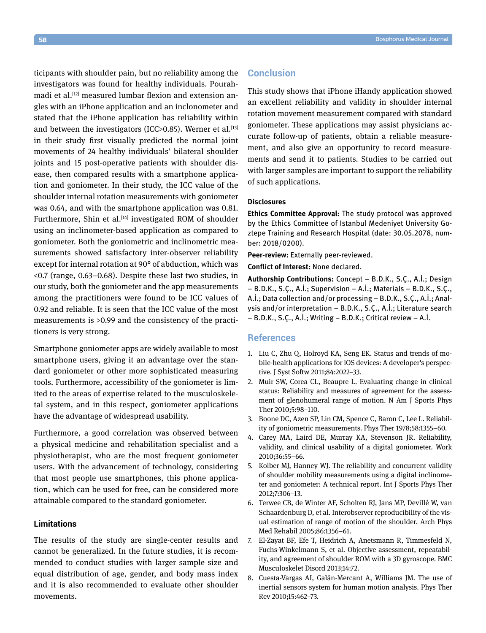ticipants with shoulder pain, but no reliability among the investigators was found for healthy individuals. Pourahmadi et al.<sup>[12]</sup> measured lumbar flexion and extension angles with an iPhone application and an inclonometer and stated that the iPhone application has reliability within and between the investigators (ICC>0.85). Werner et al. $^{[13]}$ in their study first visually predicted the normal joint movements of 24 healthy individuals' bilateral shoulder joints and 15 post-operative patients with shoulder disease, then compared results with a smartphone application and goniometer. In their study, the ICC value of the shoulder internal rotation measurements with goniometer was 0.64, and with the smartphone application was 0.81. Furthermore, Shin et al.<sup>[14]</sup> investigated ROM of shoulder using an inclinometer-based application as compared to goniometer. Both the goniometric and inclinometric measurements showed satisfactory inter-observer reliability except for internal rotation at 90° of abduction, which was <0.7 (range, 0.63–0.68). Despite these last two studies, in our study, both the goniometer and the app measurements among the practitioners were found to be ICC values of 0.92 and reliable. It is seen that the ICC value of the most measurements is >0.99 and the consistency of the practitioners is very strong.

Smartphone goniometer apps are widely available to most smartphone users, giving it an advantage over the standard goniometer or other more sophisticated measuring tools. Furthermore, accessibility of the goniometer is limited to the areas of expertise related to the musculoskeletal system, and in this respect, goniometer applications have the advantage of widespread usability.

Furthermore, a good correlation was observed between a physical medicine and rehabilitation specialist and a physiotherapist, who are the most frequent goniometer users. With the advancement of technology, considering that most people use smartphones, this phone application, which can be used for free, can be considered more attainable compared to the standard goniometer.

### **Limitations**

The results of the study are single-center results and cannot be generalized. In the future studies, it is recommended to conduct studies with larger sample size and equal distribution of age, gender, and body mass index and it is also recommended to evaluate other shoulder movements.

# **Conclusion**

This study shows that iPhone iHandy application showed an excellent reliability and validity in shoulder internal rotation movement measurement compared with standard goniometer. These applications may assist physicians accurate follow-up of patients, obtain a reliable measurement, and also give an opportunity to record measurements and send it to patients. Studies to be carried out with larger samples are important to support the reliability of such applications.

#### **Disclosures**

**Ethics Committee Approval:** The study protocol was approved by the Ethics Committee of Istanbul Medeniyet University Goztepe Training and Research Hospital (date: 30.05.2078, number: 2018/0200).

**Peer-review:** Externally peer-reviewed.

**Conflict of Interest:** None declared.

**Authorship Contributions:** Concept – B.D.K., S.Ç., A.İ.; Design – B.D.K., S.Ç., A.İ.; Supervision – A.İ.; Materials – B.D.K., S.Ç., A.İ.; Data collection and/or processing – B.D.K., S.Ç., A.İ.; Analysis and/or interpretation – B.D.K., S.Ç., A.İ.; Literature search – B.D.K., S.Ç., A.İ.; Writing – B.D.K.; Critical review – A.İ.

## **References**

- 1. Liu C, Zhu Q, Holroyd KA, Seng EK. Status and trends of mobile-health applications for iOS devices: A developer's perspective. J Syst Softw 2011;84:2022–33.
- 2. Muir SW, Corea CL, Beaupre L. Evaluating change in clinical status: Reliability and measures of agreement for the assessment of glenohumeral range of motion. N Am J Sports Phys Ther 2010;5:98–110.
- 3. Boone DC, Azen SP, Lin CM, Spence C, Baron C, Lee L. Reliability of goniometric measurements. Phys Ther 1978;58:1355–60.
- 4. Carey MA, Laird DE, Murray KA, Stevenson JR. Reliability, validity, and clinical usability of a digital goniometer. Work 2010;36:55–66.
- 5. Kolber MJ, Hanney WJ. The reliability and concurrent validity of shoulder mobility measurements using a digital inclinometer and goniometer: A technical report. Int J Sports Phys Ther 2012;7:306–13.
- 6. Terwee CB, de Winter AF, Scholten RJ, Jans MP, Devillé W, van Schaardenburg D, et al. Interobserver reproducibility of the visual estimation of range of motion of the shoulder. Arch Phys Med Rehabil 2005;86:1356–61.
- 7. El-Zayat BF, Efe T, Heidrich A, Anetsmann R, Timmesfeld N, Fuchs-Winkelmann S, et al. Objective assessment, repeatability, and agreement of shoulder ROM with a 3D gyroscope. BMC Musculoskelet Disord 2013;14:72.
- 8. Cuesta-Vargas AI, Galán-Mercant A, Williams JM. The use of inertial sensors system for human motion analysis. Phys Ther Rev 2010;15:462–73.